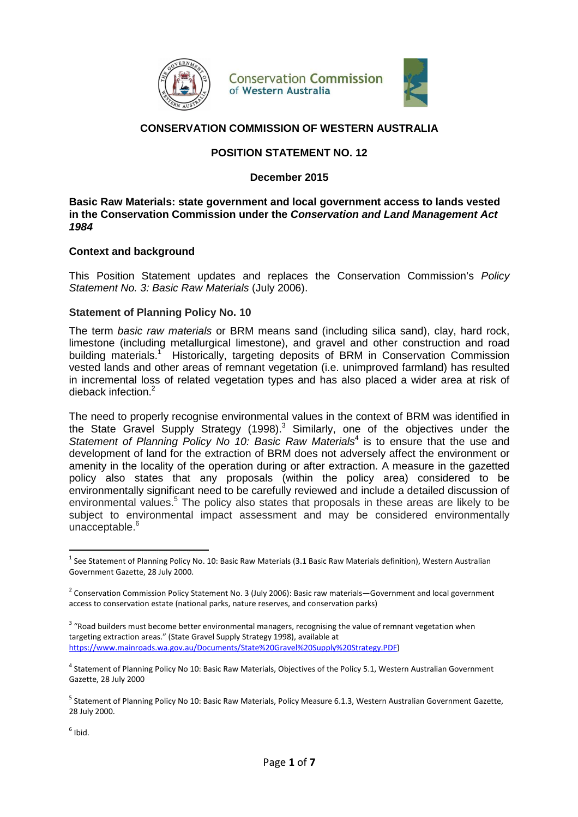

**Conservation Commission** of Western Australia



# **CONSERVATION COMMISSION OF WESTERN AUSTRALIA**

### **POSITION STATEMENT NO. 12**

**December 2015** 

**Basic Raw Materials: state government and local government access to lands vested in the Conservation Commission under the Conservation and Land Management Act 1984** 

### **Context and background**

This Position Statement updates and replaces the Conservation Commission's Policy Statement No. 3: Basic Raw Materials (July 2006).

### **Statement of Planning Policy No. 10**

The term basic raw materials or BRM means sand (including silica sand), clay, hard rock, limestone (including metallurgical limestone), and gravel and other construction and road building materials.<sup>1</sup> Historically, targeting deposits of BRM in Conservation Commission vested lands and other areas of remnant vegetation (i.e. unimproved farmland) has resulted in incremental loss of related vegetation types and has also placed a wider area at risk of dieback infection.<sup>2</sup>

The need to properly recognise environmental values in the context of BRM was identified in the State Gravel Supply Strategy (1998). $3$  Similarly, one of the objectives under the Statement of Planning Policy No 10: Basic Raw Materials<sup>4</sup> is to ensure that the use and development of land for the extraction of BRM does not adversely affect the environment or amenity in the locality of the operation during or after extraction. A measure in the gazetted policy also states that any proposals (within the policy area) considered to be environmentally significant need to be carefully reviewed and include a detailed discussion of environmental values.<sup>5</sup> The policy also states that proposals in these areas are likely to be subject to environmental impact assessment and may be considered environmentally unacceptable.<sup>6</sup>

<sup>3</sup> "Road builders must become better environmental managers, recognising the value of remnant vegetation when targeting extraction areas." (State Gravel Supply Strategy 1998), available at https://www.mainroads.wa.gov.au/Documents/State%20Gravel%20Supply%20Strategy.PDF)

 $\overline{a}$ 

<sup>&</sup>lt;sup>1</sup> See Statement of Planning Policy No. 10: Basic Raw Materials (3.1 Basic Raw Materials definition), Western Australian Government Gazette, 28 July 2000.

<sup>&</sup>lt;sup>2</sup> Conservation Commission Policy Statement No. 3 (July 2006): Basic raw materials—Government and local government access to conservation estate (national parks, nature reserves, and conservation parks)

<sup>&</sup>lt;sup>4</sup> Statement of Planning Policy No 10: Basic Raw Materials, Objectives of the Policy 5.1, Western Australian Government Gazette, 28 July 2000

<sup>&</sup>lt;sup>5</sup> Statement of Planning Policy No 10: Basic Raw Materials, Policy Measure 6.1.3, Western Australian Government Gazette, 28 July 2000.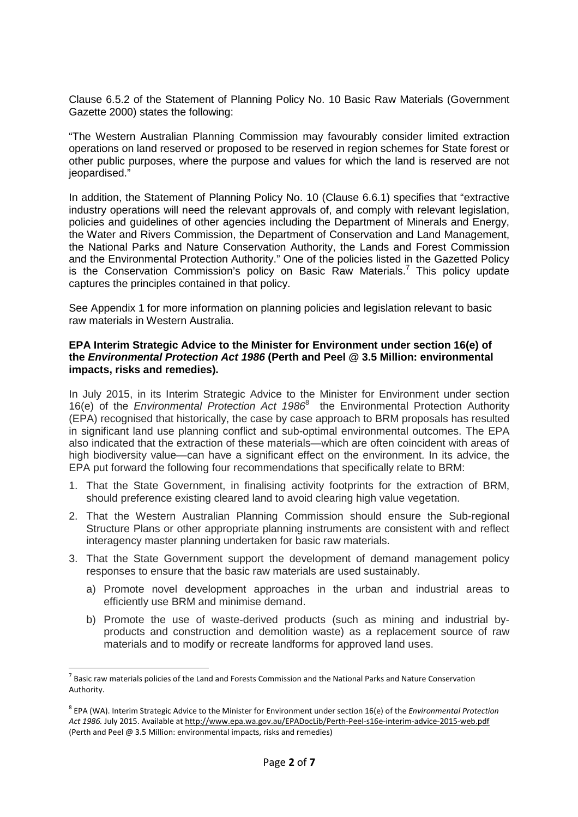Clause 6.5.2 of the Statement of Planning Policy No. 10 Basic Raw Materials (Government Gazette 2000) states the following:

"The Western Australian Planning Commission may favourably consider limited extraction operations on land reserved or proposed to be reserved in region schemes for State forest or other public purposes, where the purpose and values for which the land is reserved are not jeopardised."

In addition, the Statement of Planning Policy No. 10 (Clause 6.6.1) specifies that "extractive industry operations will need the relevant approvals of, and comply with relevant legislation, policies and guidelines of other agencies including the Department of Minerals and Energy, the Water and Rivers Commission, the Department of Conservation and Land Management, the National Parks and Nature Conservation Authority, the Lands and Forest Commission and the Environmental Protection Authority." One of the policies listed in the Gazetted Policy is the Conservation Commission's policy on Basic Raw Materials.<sup>7</sup> This policy update captures the principles contained in that policy.

See Appendix 1 for more information on planning policies and legislation relevant to basic raw materials in Western Australia.

### **EPA Interim Strategic Advice to the Minister for Environment under section 16(e) of the Environmental Protection Act 1986 (Perth and Peel @ 3.5 Million: environmental impacts, risks and remedies).**

In July 2015, in its Interim Strategic Advice to the Minister for Environment under section 16(e) of the Environmental Protection Act 1986<sup>8</sup> the Environmental Protection Authority (EPA) recognised that historically, the case by case approach to BRM proposals has resulted in significant land use planning conflict and sub-optimal environmental outcomes. The EPA also indicated that the extraction of these materials—which are often coincident with areas of high biodiversity value—can have a significant effect on the environment. In its advice, the EPA put forward the following four recommendations that specifically relate to BRM:

- 1. That the State Government, in finalising activity footprints for the extraction of BRM, should preference existing cleared land to avoid clearing high value vegetation.
- 2. That the Western Australian Planning Commission should ensure the Sub-regional Structure Plans or other appropriate planning instruments are consistent with and reflect interagency master planning undertaken for basic raw materials.
- 3. That the State Government support the development of demand management policy responses to ensure that the basic raw materials are used sustainably.
	- a) Promote novel development approaches in the urban and industrial areas to efficiently use BRM and minimise demand.
	- b) Promote the use of waste-derived products (such as mining and industrial byproducts and construction and demolition waste) as a replacement source of raw materials and to modify or recreate landforms for approved land uses.

 $\overline{a}$ 

 $^7$  Basic raw materials policies of the Land and Forests Commission and the National Parks and Nature Conservation Authority.

<sup>8</sup> EPA (WA). Interim Strategic Advice to the Minister for Environment under section 16(e) of the *Environmental Protection Act 1986.* July 2015. Available at http://www.epa.wa.gov.au/EPADocLib/Perth-Peel-s16e-interim-advice-2015-web.pdf (Perth and Peel @ 3.5 Million: environmental impacts, risks and remedies)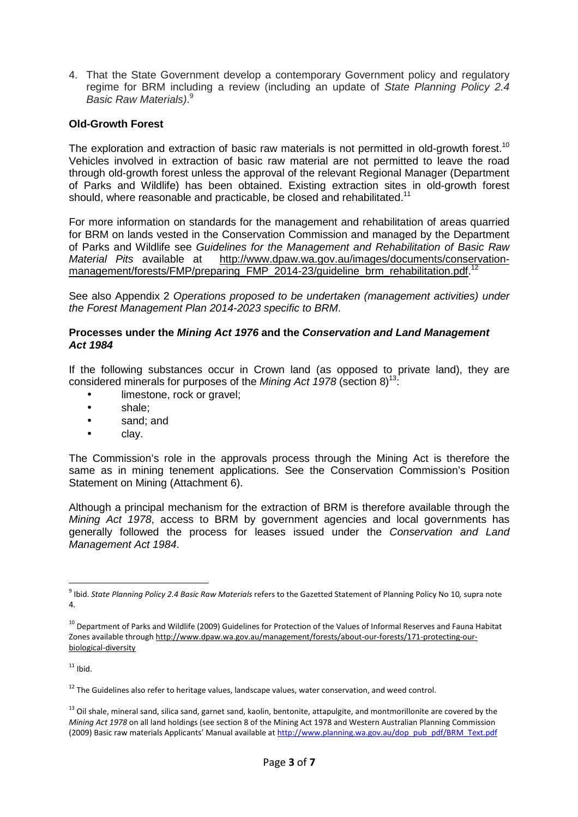4. That the State Government develop a contemporary Government policy and regulatory regime for BRM including a review (including an update of State Planning Policy 2.4 Basic Raw Materials).<sup>9</sup>

## **Old-Growth Forest**

The exploration and extraction of basic raw materials is not permitted in old-growth forest.<sup>10</sup> Vehicles involved in extraction of basic raw material are not permitted to leave the road through old-growth forest unless the approval of the relevant Regional Manager (Department of Parks and Wildlife) has been obtained. Existing extraction sites in old-growth forest should, where reasonable and practicable, be closed and rehabilitated.<sup>11</sup>

For more information on standards for the management and rehabilitation of areas quarried for BRM on lands vested in the Conservation Commission and managed by the Department of Parks and Wildlife see Guidelines for the Management and Rehabilitation of Basic Raw Material Pits available at http://www.dpaw.wa.gov.au/images/documents/conservationmanagement/forests/FMP/preparing\_FMP\_2014-23/guideline\_brm\_rehabilitation.pdf.<sup>12</sup>

See also Appendix 2 Operations proposed to be undertaken (management activities) under the Forest Management Plan 2014-2023 specific to BRM.

### **Processes under the Mining Act 1976 and the Conservation and Land Management Act 1984**

If the following substances occur in Crown land (as opposed to private land), they are considered minerals for purposes of the *Mining Act 1978* (section  $8^{13}$ :

- limestone, rock or gravel;
- shale;
- sand; and
- clav.

The Commission's role in the approvals process through the Mining Act is therefore the same as in mining tenement applications. See the Conservation Commission's Position Statement on Mining (Attachment 6).

Although a principal mechanism for the extraction of BRM is therefore available through the Mining Act 1978, access to BRM by government agencies and local governments has generally followed the process for leases issued under the Conservation and Land Management Act 1984.

 $\overline{a}$ 

<sup>9</sup> Ibid. *State Planning Policy 2.4 Basic Raw Materials* refers to the Gazetted Statement of Planning Policy No 10*,* supra note 4.

<sup>&</sup>lt;sup>10</sup> Department of Parks and Wildlife (2009) Guidelines for Protection of the Values of Informal Reserves and Fauna Habitat Zones available through http://www.dpaw.wa.gov.au/management/forests/about-our-forests/171-protecting-ourbiological-diversity

 $11$  Ibid.

<sup>&</sup>lt;sup>12</sup> The Guidelines also refer to heritage values, landscape values, water conservation, and weed control.

 $13$  Oil shale, mineral sand, silica sand, garnet sand, kaolin, bentonite, attapulgite, and montmorillonite are covered by the *Mining Act 1978* on all land holdings (see section 8 of the Mining Act 1978 and Western Australian Planning Commission (2009) Basic raw materials Applicants' Manual available at http://www.planning.wa.gov.au/dop\_pub\_pdf/BRM\_Text.pdf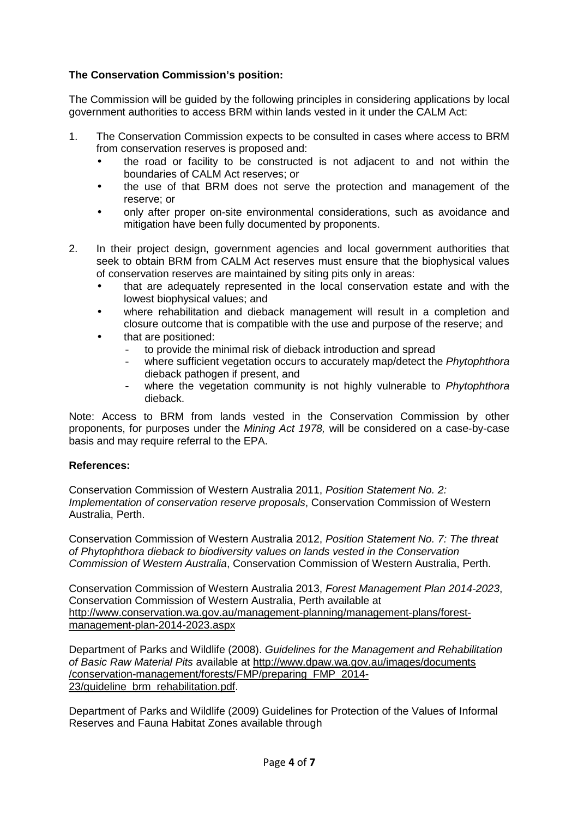# **The Conservation Commission's position:**

The Commission will be guided by the following principles in considering applications by local government authorities to access BRM within lands vested in it under the CALM Act:

- 1. The Conservation Commission expects to be consulted in cases where access to BRM from conservation reserves is proposed and:
	- the road or facility to be constructed is not adjacent to and not within the boundaries of CALM Act reserves; or
	- the use of that BRM does not serve the protection and management of the reserve; or
	- only after proper on-site environmental considerations, such as avoidance and mitigation have been fully documented by proponents.
- 2. In their project design, government agencies and local government authorities that seek to obtain BRM from CALM Act reserves must ensure that the biophysical values of conservation reserves are maintained by siting pits only in areas:
	- that are adequately represented in the local conservation estate and with the lowest biophysical values; and
	- where rehabilitation and dieback management will result in a completion and closure outcome that is compatible with the use and purpose of the reserve; and
	- that are positioned:
		- to provide the minimal risk of dieback introduction and spread
		- where sufficient vegetation occurs to accurately map/detect the Phytophthora dieback pathogen if present, and
		- where the vegetation community is not highly vulnerable to Phytophthora dieback.

Note: Access to BRM from lands vested in the Conservation Commission by other proponents, for purposes under the Mining Act 1978, will be considered on a case-by-case basis and may require referral to the EPA.

### **References:**

Conservation Commission of Western Australia 2011, Position Statement No. 2: Implementation of conservation reserve proposals, Conservation Commission of Western Australia, Perth.

Conservation Commission of Western Australia 2012, Position Statement No. 7: The threat of Phytophthora dieback to biodiversity values on lands vested in the Conservation Commission of Western Australia, Conservation Commission of Western Australia, Perth.

Conservation Commission of Western Australia 2013, Forest Management Plan 2014-2023, Conservation Commission of Western Australia, Perth available at http://www.conservation.wa.gov.au/management-planning/management-plans/forestmanagement-plan-2014-2023.aspx

Department of Parks and Wildlife (2008). Guidelines for the Management and Rehabilitation of Basic Raw Material Pits available at http://www.dpaw.wa.gov.au/images/documents /conservation-management/forests/FMP/preparing\_FMP\_2014- 23/guideline\_brm\_rehabilitation.pdf.

Department of Parks and Wildlife (2009) Guidelines for Protection of the Values of Informal Reserves and Fauna Habitat Zones available through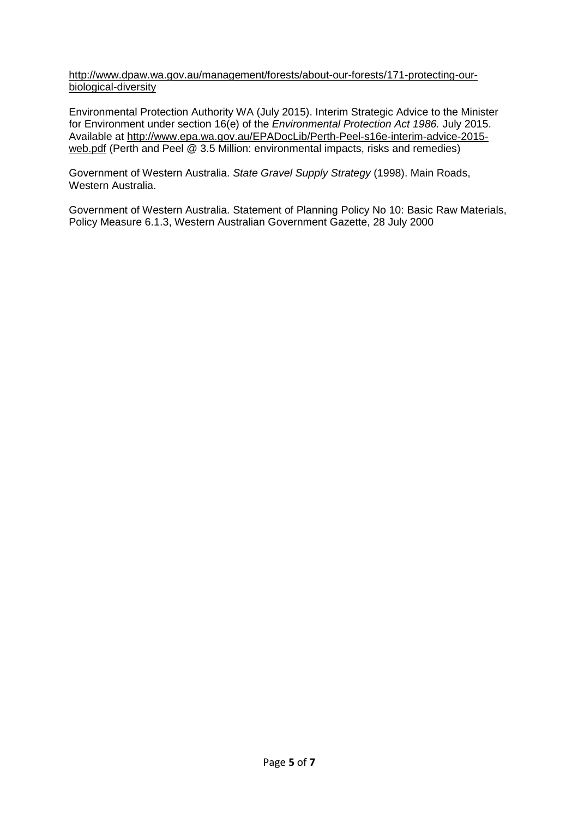http://www.dpaw.wa.gov.au/management/forests/about-our-forests/171-protecting-ourbiological-diversity

Environmental Protection Authority WA (July 2015). Interim Strategic Advice to the Minister for Environment under section 16(e) of the Environmental Protection Act 1986. July 2015. Available at http://www.epa.wa.gov.au/EPADocLib/Perth-Peel-s16e-interim-advice-2015 web.pdf (Perth and Peel @ 3.5 Million: environmental impacts, risks and remedies)

Government of Western Australia. State Gravel Supply Strategy (1998). Main Roads, Western Australia.

Government of Western Australia. Statement of Planning Policy No 10: Basic Raw Materials, Policy Measure 6.1.3, Western Australian Government Gazette, 28 July 2000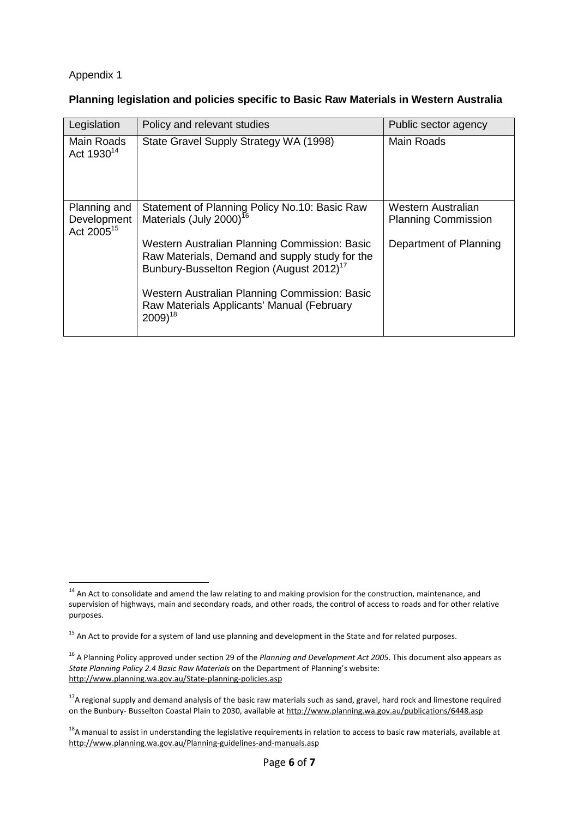# Appendix 1

 $\overline{a}$ 

### **Planning legislation and policies specific to Basic Raw Materials in Western Australia**

| Legislation                                           | Policy and relevant studies                                                                                                                                                                                                                                                                                                                                            | Public sector agency                                                       |
|-------------------------------------------------------|------------------------------------------------------------------------------------------------------------------------------------------------------------------------------------------------------------------------------------------------------------------------------------------------------------------------------------------------------------------------|----------------------------------------------------------------------------|
| Main Roads<br>Act 1930 <sup>14</sup>                  | State Gravel Supply Strategy WA (1998)                                                                                                                                                                                                                                                                                                                                 | Main Roads                                                                 |
| Planning and<br>Development<br>Act 2005 <sup>15</sup> | Statement of Planning Policy No.10: Basic Raw<br>Materials (July 2000) <sup>16</sup><br>Western Australian Planning Commission: Basic<br>Raw Materials, Demand and supply study for the<br>Bunbury-Busselton Region (August 2012) <sup>17</sup><br>Western Australian Planning Commission: Basic<br>Raw Materials Applicants' Manual (February<br>$2009$ <sup>18</sup> | Western Australian<br><b>Planning Commission</b><br>Department of Planning |

 $14$  An Act to consolidate and amend the law relating to and making provision for the construction, maintenance, and supervision of highways, main and secondary roads, and other roads, the control of access to roads and for other relative purposes.

<sup>&</sup>lt;sup>15</sup> An Act to provide for a system of land use planning and development in the State and for related purposes.

<sup>16</sup> A Planning Policy approved under section 29 of the *Planning and Development Act 2005*. This document also appears as *State Planning Policy 2.4 Basic Raw Materials* on the Department of Planning's website: http://www.planning.wa.gov.au/State-planning-policies.asp

<sup>&</sup>lt;sup>17</sup>A regional supply and demand analysis of the basic raw materials such as sand, gravel, hard rock and limestone required on the Bunbury- Busselton Coastal Plain to 2030, available at http://www.planning.wa.gov.au/publications/6448.asp

<sup>&</sup>lt;sup>18</sup>A manual to assist in understanding the legislative requirements in relation to access to basic raw materials, available at http://www.planning.wa.gov.au/Planning-guidelines-and-manuals.asp